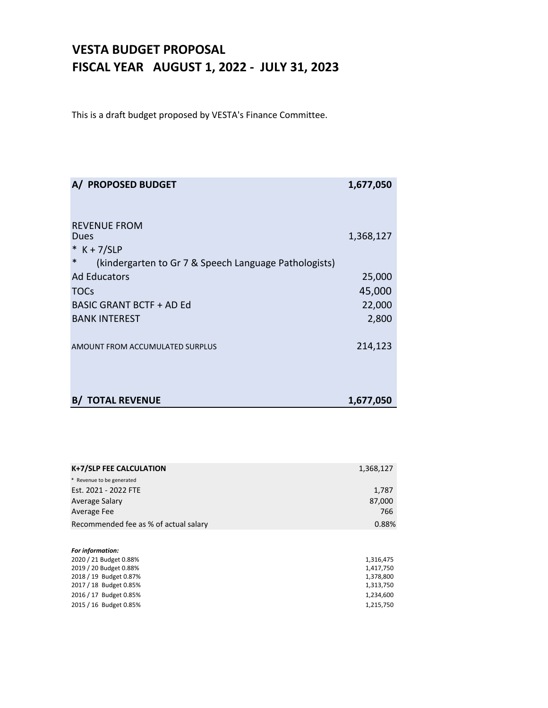#### **VESTA BUDGET PROPOSAL FISCAL YEAR AUGUST 1, 2022 ‐ JULY 31, 2023**

This is a draft budget proposed by VESTA's Finance Committee.

| A/ PROPOSED BUDGET                                              | 1,677,050 |
|-----------------------------------------------------------------|-----------|
|                                                                 |           |
| <b>REVENUE FROM</b>                                             |           |
| Dues                                                            | 1,368,127 |
| $*$ K + 7/SLP                                                   |           |
| $\ast$<br>(kindergarten to Gr 7 & Speech Language Pathologists) |           |
| <b>Ad Educators</b>                                             | 25,000    |
| <b>TOCs</b>                                                     | 45,000    |
| <b>BASIC GRANT BCTF + AD Ed</b>                                 | 22,000    |
| <b>BANK INTEREST</b>                                            | 2,800     |
|                                                                 |           |
| AMOUNT FROM ACCUMULATED SURPLUS                                 | 214,123   |
|                                                                 |           |
|                                                                 |           |
|                                                                 |           |
| <b>B/ TOTAL REVENUE</b>                                         | 1,677,050 |

| K+7/SLP FEE CALCULATION               | 1,368,127 |
|---------------------------------------|-----------|
| * Revenue to be generated             |           |
| Est. 2021 - 2022 FTE                  | 1,787     |
| Average Salary                        | 87,000    |
| Average Fee                           | 766       |
| Recommended fee as % of actual salary | 0.88%     |
|                                       |           |
| Ear information:                      |           |

| roi iiliomiitution.    |           |
|------------------------|-----------|
| 2020 / 21 Budget 0.88% | 1.316.475 |
| 2019 / 20 Budget 0.88% | 1.417.750 |
| 2018 / 19 Budget 0.87% | 1.378.800 |
| 2017 / 18 Budget 0.85% | 1,313,750 |
| 2016 / 17 Budget 0.85% | 1.234.600 |
| 2015 / 16 Budget 0.85% | 1,215,750 |
|                        |           |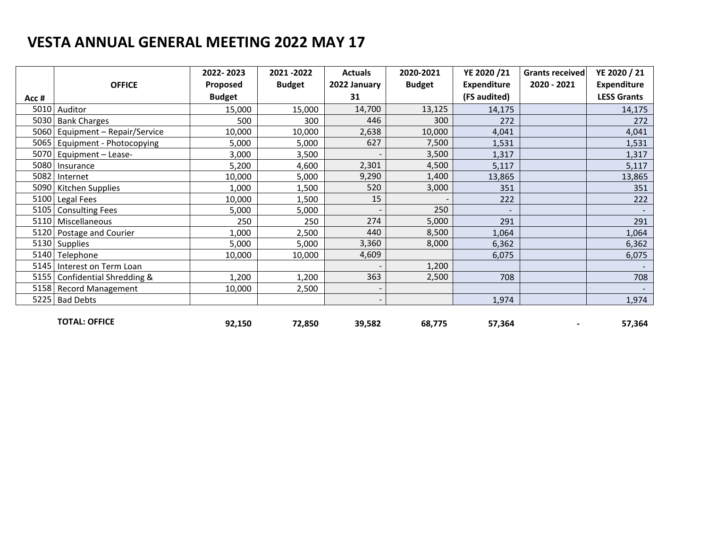|      |                            | 2022-2023     | 2021 - 2022   | <b>Actuals</b> | 2020-2021     | YE 2020 /21        | Grants received | YE 2020 / 21       |
|------|----------------------------|---------------|---------------|----------------|---------------|--------------------|-----------------|--------------------|
|      | <b>OFFICE</b>              | Proposed      | <b>Budget</b> | 2022 January   | <b>Budget</b> | <b>Expenditure</b> | 2020 - 2021     | <b>Expenditure</b> |
| Acc# |                            | <b>Budget</b> |               | 31             |               | (FS audited)       |                 | <b>LESS Grants</b> |
| 5010 | Auditor                    | 15,000        | 15,000        | 14,700         | 13,125        | 14,175             |                 | 14,175             |
| 5030 | <b>Bank Charges</b>        | 500           | 300           | 446            | 300           | 272                |                 | 272                |
| 5060 | Equipment - Repair/Service | 10,000        | 10,000        | 2,638          | 10,000        | 4,041              |                 | 4,041              |
| 5065 | Equipment - Photocopying   | 5,000         | 5,000         | 627            | 7,500         | 1,531              |                 | 1,531              |
| 5070 | Equipment - Lease-         | 3,000         | 3,500         |                | 3,500         | 1,317              |                 | 1,317              |
| 5080 | Insurance                  | 5,200         | 4,600         | 2,301          | 4,500         | 5,117              |                 | 5,117              |
| 5082 | Internet                   | 10,000        | 5,000         | 9,290          | 1,400         | 13,865             |                 | 13,865             |
| 5090 | Kitchen Supplies           | 1,000         | 1,500         | 520            | 3,000         | 351                |                 | 351                |
| 5100 | Legal Fees                 | 10,000        | 1,500         | 15             |               | 222                |                 | 222                |
| 5105 | <b>Consulting Fees</b>     | 5,000         | 5,000         |                | 250           |                    |                 |                    |
| 5110 | Miscellaneous              | 250           | 250           | 274            | 5,000         | 291                |                 | 291                |
| 5120 | Postage and Courier        | 1,000         | 2,500         | 440            | 8,500         | 1,064              |                 | 1,064              |
|      | 5130 Supplies              | 5,000         | 5,000         | 3,360          | 8,000         | 6,362              |                 | 6,362              |
| 5140 | Telephone                  | 10,000        | 10,000        | 4,609          |               | 6,075              |                 | 6,075              |
| 5145 | Interest on Term Loan      |               |               |                | 1,200         |                    |                 |                    |
| 5155 | Confidential Shredding &   | 1,200         | 1,200         | 363            | 2,500         | 708                |                 | 708                |
| 5158 | <b>Record Management</b>   | 10,000        | 2,500         |                |               |                    |                 |                    |
| 5225 | <b>Bad Debts</b>           |               |               |                |               | 1,974              |                 | 1,974              |
|      |                            |               |               |                |               |                    |                 |                    |
|      | <b>TOTAL: OFFICE</b>       | 92,150        | 72,850        | 39,582         | 68,775        | 57,364             |                 | 57,364             |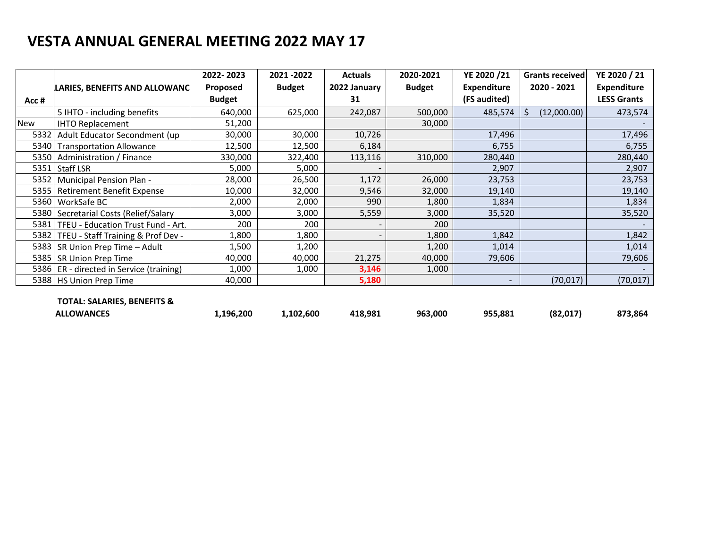|       |                                     | 2022-2023     | 2021-2022     | <b>Actuals</b>           | 2020-2021     | YE 2020 /21              | Grants received  | YE 2020 / 21       |
|-------|-------------------------------------|---------------|---------------|--------------------------|---------------|--------------------------|------------------|--------------------|
|       | LARIES, BENEFITS AND ALLOWANC       | Proposed      | <b>Budget</b> | 2022 January             | <b>Budget</b> | <b>Expenditure</b>       | 2020 - 2021      | <b>Expenditure</b> |
| Acc # |                                     | <b>Budget</b> |               | 31                       |               | (FS audited)             |                  | <b>LESS Grants</b> |
|       | 5 IHTO - including benefits         | 640,000       | 625,000       | 242,087                  | 500,000       | 485,574                  | (12,000.00)<br>Ŝ | 473,574            |
| New   | <b>IHTO Replacement</b>             | 51,200        |               |                          | 30,000        |                          |                  |                    |
| 5332  | Adult Educator Secondment (up       | 30,000        | 30,000        | 10,726                   |               | 17,496                   |                  | 17,496             |
| 5340  | <b>Transportation Allowance</b>     | 12,500        | 12,500        | 6,184                    |               | 6,755                    |                  | 6,755              |
| 5350  | Administration / Finance            | 330,000       | 322,400       | 113,116                  | 310,000       | 280,440                  |                  | 280,440            |
| 5351  | Staff LSR                           | 5,000         | 5,000         |                          |               | 2,907                    |                  | 2,907              |
| 5352  | <b>Municipal Pension Plan -</b>     | 28,000        | 26,500        | 1,172                    | 26,000        | 23,753                   |                  | 23,753             |
| 5355  | <b>Retirement Benefit Expense</b>   | 10,000        | 32,000        | 9,546                    | 32,000        | 19,140                   |                  | 19,140             |
| 5360  | WorkSafe BC                         | 2,000         | 2,000         | 990                      | 1,800         | 1,834                    |                  | 1,834              |
| 5380  | Secretarial Costs (Relief/Salary    | 3,000         | 3,000         | 5,559                    | 3,000         | 35,520                   |                  | 35,520             |
| 5381  | TFEU - Education Trust Fund - Art.  | 200           | 200           |                          | 200           |                          |                  |                    |
| 5382  | TFEU - Staff Training & Prof Dev -  | 1,800         | 1,800         | $\overline{\phantom{a}}$ | 1,800         | 1,842                    |                  | 1,842              |
| 5383  | SR Union Prep Time - Adult          | 1,500         | 1,200         |                          | 1,200         | 1,014                    |                  | 1,014              |
| 5385  | SR Union Prep Time                  | 40,000        | 40,000        | 21,275                   | 40,000        | 79,606                   |                  | 79,606             |
| 5386  | ER - directed in Service (training) | 1,000         | 1,000         | 3,146                    | 1,000         |                          |                  |                    |
| 5388  | <b>HS Union Prep Time</b>           | 40,000        |               | 5,180                    |               | $\overline{\phantom{a}}$ | (70, 017)        | (70, 017)          |
|       |                                     |               |               |                          |               |                          |                  |                    |
|       | TOTAL: SALARIES, BENEFITS &         |               |               |                          |               |                          |                  |                    |
|       | <b>ALLOWANCES</b>                   | 1,196,200     | 1,102,600     | 418,981                  | 963,000       | 955,881                  | (82,017)         | 873,864            |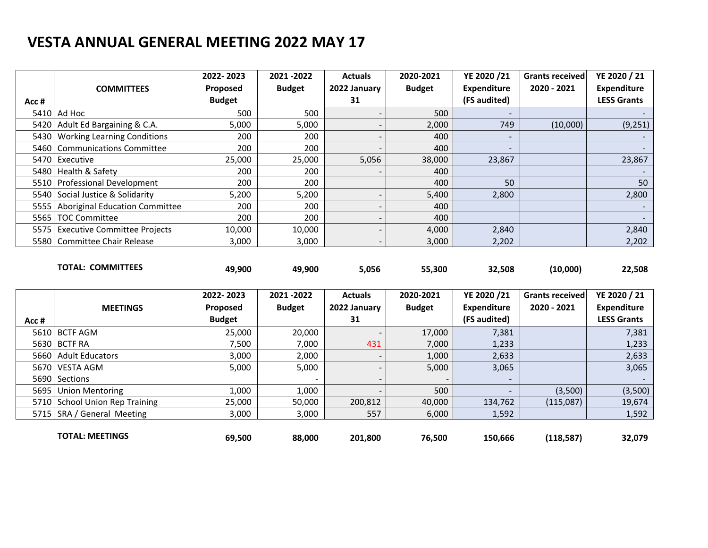|       |                                     | 2022-2023     | 2021 - 2022   | <b>Actuals</b> | 2020-2021     | YE 2020 /21              | Grants received | YE 2020 / 21             |
|-------|-------------------------------------|---------------|---------------|----------------|---------------|--------------------------|-----------------|--------------------------|
|       | <b>COMMITTEES</b>                   | Proposed      | <b>Budget</b> | 2022 January   | <b>Budget</b> | <b>Expenditure</b>       | 2020 - 2021     | Expenditure              |
| Acc # |                                     | <b>Budget</b> |               | 31             |               | (FS audited)             |                 | <b>LESS Grants</b>       |
|       | $5410$ Ad Hoc                       | 500           | 500           |                | 500           | $\overline{\phantom{a}}$ |                 |                          |
|       | 5420 Adult Ed Bargaining & C.A.     | 5,000         | 5,000         |                | 2,000         | 749                      | (10,000)        | (9, 251)                 |
| 5430  | <b>Working Learning Conditions</b>  | 200           | 200           |                | 400           |                          |                 |                          |
|       | 5460 Communications Committee       | 200           | 200           |                | 400           | -                        |                 |                          |
|       | 5470 Executive                      | 25,000        | 25,000        | 5,056          | 38,000        | 23,867                   |                 | 23,867                   |
|       | 5480 Health & Safety                | 200           | 200           |                | 400           |                          |                 |                          |
|       | 5510 Professional Development       | 200           | 200           |                | 400           | 50                       |                 | 50                       |
|       | 5540 Social Justice & Solidarity    | 5,200         | 5,200         |                | 5,400         | 2,800                    |                 | 2,800                    |
|       | 5555 Aboriginal Education Committee | 200           | 200           |                | 400           |                          |                 | $\overline{\phantom{a}}$ |
|       | 5565   TOC Committee                | 200           | 200           |                | 400           |                          |                 |                          |
|       | 5575 Executive Committee Projects   | 10,000        | 10,000        |                | 4,000         | 2,840                    |                 | 2,840                    |
|       | 5580 Committee Chair Release        | 3,000         | 3,000         |                | 3,000         | 2,202                    |                 | 2,202                    |

|                                    | $\mathbf{a} \mathbf{a} \mathbf{a}$<br>$\mathbf{a} \mathbf{a} \mathbf{a} \mathbf{b}$ |        | $A - 1 - 1 - 1$ | $\begin{array}{c} \n\text{and} \\ \n\end{array}$ | $V$ $F$ 3030 $/34$ | $\overline{a}$ |        |
|------------------------------------|-------------------------------------------------------------------------------------|--------|-----------------|--------------------------------------------------|--------------------|----------------|--------|
| <b>COMMITTEES</b><br><b>TOTAL:</b> | 49,900                                                                              | 49,900 | 5,056           | 55,300                                           | 32,508             | (10,000)       | 22,508 |

|       |                                | 2022-2023     | 2021 - 2022   | <b>Actuals</b> | 2020-2021                | YE 2020 /21              | <b>Grants received</b> | YE 2020 / 21       |
|-------|--------------------------------|---------------|---------------|----------------|--------------------------|--------------------------|------------------------|--------------------|
|       | <b>MEETINGS</b>                | Proposed      | <b>Budget</b> | 2022 January   | <b>Budget</b>            | <b>Expenditure</b>       | 2020 - 2021            | <b>Expenditure</b> |
| Acc # |                                | <b>Budget</b> |               | 31             |                          | (FS audited)             |                        | <b>LESS Grants</b> |
|       | 5610 BCTF AGM                  | 25,000        | 20,000        |                | 17,000                   | 7,381                    |                        | 7,381              |
|       | 5630 BCTF RA                   | 7,500         | 7,000         | 431            | 7,000                    | 1,233                    |                        | 1,233              |
|       | 5660 Adult Educators           | 3,000         | 2,000         |                | 1,000                    | 2,633                    |                        | 2,633              |
|       | 5670   VESTA AGM               | 5,000         | 5,000         |                | 5,000                    | 3,065                    |                        | 3,065              |
|       | 5690 Sections                  |               | $\,$ $\,$     |                | $\overline{\phantom{a}}$ | $\overline{\phantom{0}}$ |                        | $\sim$             |
|       | 5695 Union Mentoring           | 1,000         | 1,000         |                | 500                      | $\overline{\phantom{0}}$ | (3,500)                | (3,500)            |
|       | 5710 School Union Rep Training | 25,000        | 50,000        | 200,812        | 40,000                   | 134,762                  | (115,087)              | 19,674             |
|       | 5715   SRA / General Meeting   | 3,000         | 3,000         | 557            | 6,000                    | 1,592                    |                        | 1,592              |
|       | <b>TOTAL: MEETINGS</b>         | 69.500        | 88,000        | 201.800        | 76,500                   | 150.666                  | (118, 587)             | 32,079             |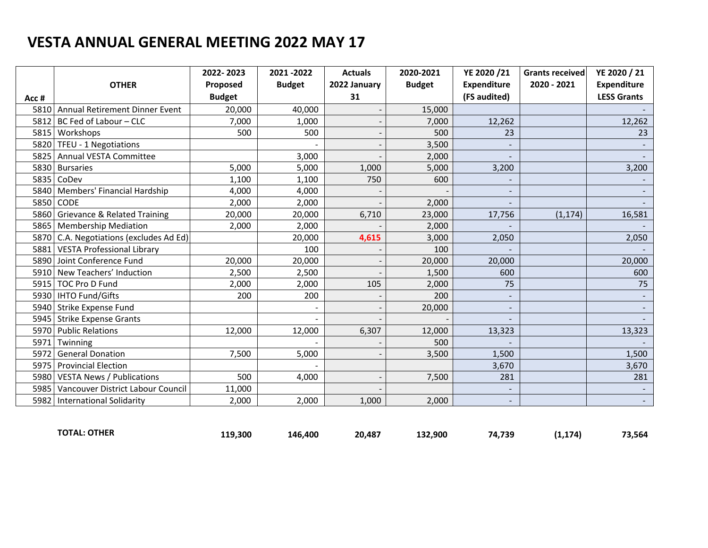|      |                                         | 2022-2023     | 2021 - 2022   | <b>Actuals</b> | 2020-2021     | YE 2020 /21        | <b>Grants received</b> | YE 2020 / 21       |
|------|-----------------------------------------|---------------|---------------|----------------|---------------|--------------------|------------------------|--------------------|
|      | <b>OTHER</b>                            | Proposed      | <b>Budget</b> | 2022 January   | <b>Budget</b> | <b>Expenditure</b> | 2020 - 2021            | <b>Expenditure</b> |
| Acc# |                                         | <b>Budget</b> |               | 31             |               | (FS audited)       |                        | <b>LESS Grants</b> |
| 5810 | Annual Retirement Dinner Event          | 20,000        | 40,000        |                | 15,000        |                    |                        |                    |
| 5812 | BC Fed of Labour - CLC                  | 7,000         | 1,000         |                | 7,000         | 12,262             |                        | 12,262             |
| 5815 | Workshops                               | 500           | 500           |                | 500           | 23                 |                        | 23                 |
| 5820 | TFEU - 1 Negotiations                   |               |               |                | 3,500         |                    |                        |                    |
| 5825 | <b>Annual VESTA Committee</b>           |               | 3,000         |                | 2,000         |                    |                        |                    |
| 5830 | <b>Bursaries</b>                        | 5,000         | 5,000         | 1,000          | 5,000         | 3,200              |                        | 3,200              |
| 5835 | CoDev                                   | 1,100         | 1,100         | 750            | 600           |                    |                        |                    |
| 5840 | Members' Financial Hardship             | 4,000         | 4,000         |                |               |                    |                        |                    |
| 5850 | CODE                                    | 2,000         | 2,000         |                | 2,000         |                    |                        |                    |
| 5860 | <b>Grievance &amp; Related Training</b> | 20,000        | 20,000        | 6,710          | 23,000        | 17,756             | (1, 174)               | 16,581             |
|      | 5865 Membership Mediation               | 2,000         | 2,000         |                | 2,000         |                    |                        |                    |
| 5870 | C.A. Negotiations (excludes Ad Ed)      |               | 20,000        | 4,615          | 3,000         | 2,050              |                        | 2,050              |
|      | 5881 VESTA Professional Library         |               | 100           |                | 100           |                    |                        |                    |
|      | 5890 Joint Conference Fund              | 20,000        | 20,000        |                | 20,000        | 20,000             |                        | 20,000             |
|      | 5910 New Teachers' Induction            | 2,500         | 2,500         |                | 1,500         | 600                |                        | 600                |
|      | 5915   TOC Pro D Fund                   | 2,000         | 2,000         | 105            | 2,000         | 75                 |                        | 75                 |
|      | 5930   IHTO Fund/Gifts                  | 200           | 200           |                | 200           |                    |                        |                    |
| 5940 | <b>Strike Expense Fund</b>              |               |               |                | 20,000        |                    |                        |                    |
|      | 5945 Strike Expense Grants              |               |               |                |               |                    |                        |                    |
| 5970 | <b>Public Relations</b>                 | 12,000        | 12,000        | 6,307          | 12,000        | 13,323             |                        | 13,323             |
| 5971 | Twinning                                |               |               |                | 500           |                    |                        |                    |
| 5972 | <b>General Donation</b>                 | 7,500         | 5,000         |                | 3,500         | 1,500              |                        | 1,500              |
| 5975 | <b>Provincial Election</b>              |               |               |                |               | 3,670              |                        | 3,670              |
| 5980 | <b>VESTA News / Publications</b>        | 500           | 4,000         |                | 7,500         | 281                |                        | 281                |
| 5985 | Vancouver District Labour Council       | 11,000        |               |                |               |                    |                        |                    |
|      | 5982   International Solidarity         | 2,000         | 2,000         | 1,000          | 2,000         |                    |                        |                    |

| <b>OTHER</b><br><b>TOTAL</b> | 119,300 | 400<br>146. | 20.487 | 132.900 | 74.739 | 174<br> | 73,564 |
|------------------------------|---------|-------------|--------|---------|--------|---------|--------|
|                              |         |             |        |         |        |         |        |